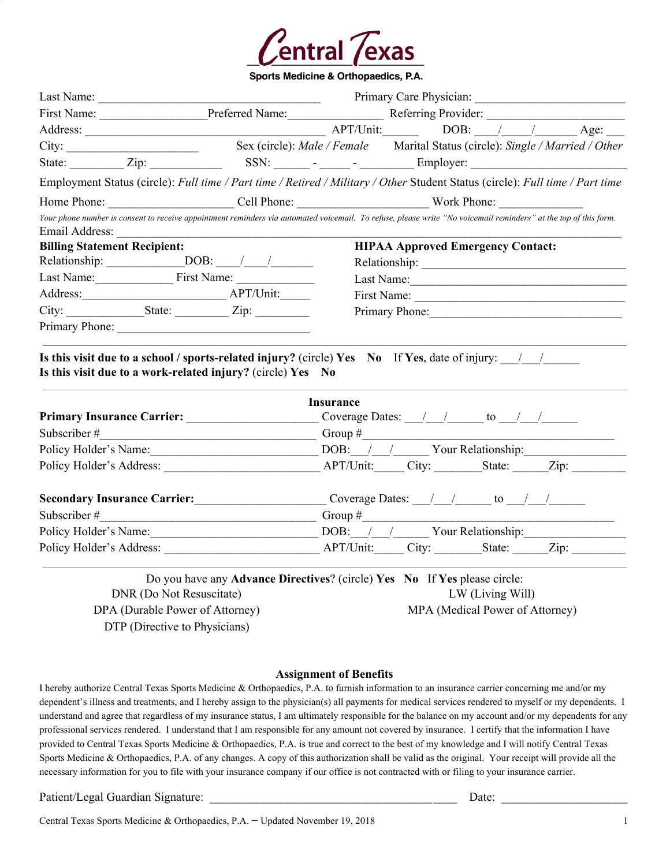

Sports Medicine & Orthopaedics, P.A.

|                                                             |                                                     | First Name: Preferred Name: Referring Provider: Name: Referring Provider:                                                                                        |  |  |  |
|-------------------------------------------------------------|-----------------------------------------------------|------------------------------------------------------------------------------------------------------------------------------------------------------------------|--|--|--|
|                                                             |                                                     |                                                                                                                                                                  |  |  |  |
| City:                                                       |                                                     | Sex (circle): Male / Female Marital Status (circle): Single / Married / Other                                                                                    |  |  |  |
|                                                             |                                                     | State: <u>Zip: Zip: SSN: SSN:</u> - - - Employer:                                                                                                                |  |  |  |
|                                                             |                                                     | Employment Status (circle): Full time / Part time / Retired / Military / Other Student Status (circle): Full time / Part time                                    |  |  |  |
|                                                             |                                                     |                                                                                                                                                                  |  |  |  |
| Email Address:                                              | <u> 1980 - Andrea Andrews, amerikansk politik (</u> | Your phone number is consent to receive appointment reminders via automated voicemail. To refuse, please write "No voicemail reminders" at the top of this form. |  |  |  |
| <b>Billing Statement Recipient:</b>                         |                                                     | <b>HIPAA Approved Emergency Contact:</b>                                                                                                                         |  |  |  |
|                                                             |                                                     |                                                                                                                                                                  |  |  |  |
| Last Name: First Name:                                      |                                                     | Last Name: 1988                                                                                                                                                  |  |  |  |
| Address: <u>APT/Unit:</u>                                   |                                                     |                                                                                                                                                                  |  |  |  |
|                                                             |                                                     | Primary Phone:                                                                                                                                                   |  |  |  |
|                                                             |                                                     |                                                                                                                                                                  |  |  |  |
|                                                             |                                                     |                                                                                                                                                                  |  |  |  |
|                                                             |                                                     | Is this visit due to a school / sports-related injury? (circle) Yes No If Yes, date of injury: $\frac{1}{2}$                                                     |  |  |  |
| Is this visit due to a work-related injury? (circle) Yes No |                                                     | <b>Insurance</b>                                                                                                                                                 |  |  |  |
|                                                             |                                                     | Coverage Dates: $\frac{1}{\sqrt{1-\frac{1}{2}}}$ to $\frac{1}{\sqrt{1-\frac{1}{2}}}$                                                                             |  |  |  |
|                                                             |                                                     |                                                                                                                                                                  |  |  |  |
|                                                             |                                                     | Policy Holder's Name: DOB: / / / Your Relationship:                                                                                                              |  |  |  |
|                                                             |                                                     | APT/Unit: City: State: Zip:                                                                                                                                      |  |  |  |
| <b>Secondary Insurance Carrier:</b>                         |                                                     | Coverage Dates: $\frac{1}{\sqrt{2}}$ to $\frac{1}{\sqrt{2}}$                                                                                                     |  |  |  |
|                                                             |                                                     |                                                                                                                                                                  |  |  |  |
| Subscriber # $\qquad \qquad$<br>Policy Holder's Name:       |                                                     | Group~#<br>DOB: / / / Your Relationship:                                                                                                                         |  |  |  |

Do you have any **Advance Directives**? (circle) **Yes No** If **Yes** please circle: DNR (Do Not Resuscitate) DPA (Durable Power of Attorney) DTP (Directive to Physicians) LW (Living Will) MPA (Medical Power of Attorney)

#### **Assignment of Benefits**

I hereby authorize Central Texas Sports Medicine & Orthopaedics, P.A. to furnish information to an insurance carrier concerning me and/or my dependent's illness and treatments, and I hereby assign to the physician(s) all payments for medical services rendered to myself or my dependents. I understand and agree that regardless of my insurance status, I am ultimately responsible for the balance on my account and/or my dependents for any professional services rendered. I understand that I am responsible for any amount not covered by insurance. I certify that the information I have provided to Central Texas Sports Medicine & Orthopaedics, P.A. is true and correct to the best of my knowledge and I will notify Central Texas Sports Medicine & Orthopaedics, P.A. of any changes. A copy of this authorization shall be valid as the original. Your receipt will provide all the necessary information for you to file with your insurance company if our office is not contracted with or filing to your insurance carrier.

Patient/Legal Guardian Signature: <br>  $\Box$  Date:  $\Box$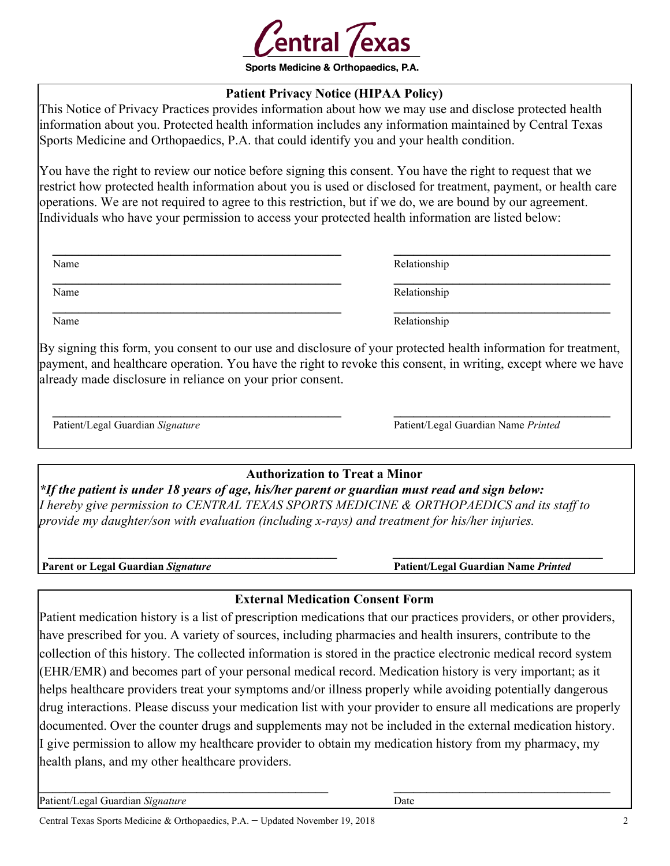

# **Patient Privacy Notice (HIPAA Policy)**

This Notice of Privacy Practices provides information about how we may use and disclose protected health information about you. Protected health information includes any information maintained by Central Texas Sports Medicine and Orthopaedics, P.A. that could identify you and your health condition.

You have the right to review our notice before signing this consent. You have the right to request that we restrict how protected health information about you is used or disclosed for treatment, payment, or health care operations. We are not required to agree to this restriction, but if we do, we are bound by our agreement. Individuals who have your permission to access your protected health information are listed below:

| Name | Relationship |
|------|--------------|
| Name | Relationship |
| Name | Relationship |

By signing this form, you consent to our use and disclosure of your protected health information for treatment, payment, and healthcare operation. You have the right to revoke this consent, in writing, except where we have already made disclosure in reliance on your prior consent.

 **\_\_\_\_\_\_\_\_\_\_\_\_\_\_\_\_\_\_\_\_\_\_\_\_\_\_\_\_\_\_\_\_\_\_\_\_\_\_\_\_\_\_\_\_ \_\_\_\_\_\_\_\_\_\_\_\_\_\_\_\_\_\_\_\_\_\_\_\_\_\_\_\_\_\_\_\_\_**

Patient/Legal Guardian *Signature* Patient/Legal Guardian Name *Printed*

# **Authorization to Treat a Minor**

*\*If the patient is under 18 years of age, his/her parent or guardian must read and sign below: I hereby give permission to CENTRAL TEXAS SPORTS MEDICINE & ORTHOPAEDICS and its staff to provide my daughter/son with evaluation (including x-rays) and treatment for his/her injuries.*

 *\_\_\_\_\_\_\_\_\_\_\_\_\_\_\_\_\_\_\_\_\_\_\_\_\_\_\_\_\_\_\_\_\_\_\_\_\_\_\_\_\_\_\_\_ \_\_\_\_\_\_\_\_\_\_\_\_\_\_\_\_\_\_\_\_\_\_\_\_\_\_\_\_\_\_\_\_* **Parent or Legal Guardian** *Signature* **Patient/Legal Guardian Name** *Printed*

# **External Medication Consent Form**

Patient medication history is a list of prescription medications that our practices providers, or other providers, have prescribed for you. A variety of sources, including pharmacies and health insurers, contribute to the collection of this history. The collected information is stored in the practice electronic medical record system (EHR/EMR) and becomes part of your personal medical record. Medication history is very important; as it helps healthcare providers treat your symptoms and/or illness properly while avoiding potentially dangerous drug interactions. Please discuss your medication list with your provider to ensure all medications are properly documented. Over the counter drugs and supplements may not be included in the external medication history. I give permission to allow my healthcare provider to obtain my medication history from my pharmacy, my health plans, and my other healthcare providers.

**\_\_\_\_\_\_\_\_\_\_\_\_\_\_\_\_\_\_\_\_\_\_\_\_\_\_\_\_\_\_\_\_\_\_\_\_\_\_\_\_\_\_\_\_ \_\_\_\_\_\_\_\_\_\_\_\_\_\_\_\_\_\_\_\_\_\_\_\_\_\_\_\_\_\_\_\_\_**

Patient/Legal Guardian *Signature* Date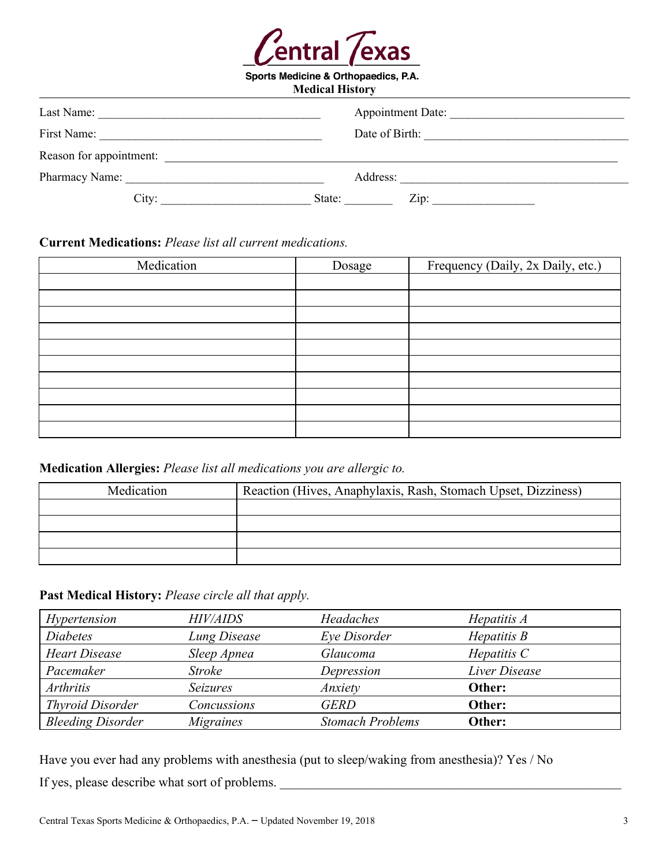

Sports Medicine & Orthopaedics, P.A.

| <b>Medical History</b>  |                          |  |  |
|-------------------------|--------------------------|--|--|
| Last Name:              | <b>Appointment Date:</b> |  |  |
| First Name:             | Date of Birth:           |  |  |
| Reason for appointment: |                          |  |  |
| Pharmacy Name:          | Address:                 |  |  |
| City:                   | Zip:<br>State:           |  |  |

# **Current Medications:** *Please list all current medications.*

| Medication | Dosage | Frequency (Daily, 2x Daily, etc.) |
|------------|--------|-----------------------------------|
|            |        |                                   |
|            |        |                                   |
|            |        |                                   |
|            |        |                                   |
|            |        |                                   |
|            |        |                                   |
|            |        |                                   |
|            |        |                                   |
|            |        |                                   |
|            |        |                                   |

## **Medication Allergies:** *Please list all medications you are allergic to.*

| Medication | Reaction (Hives, Anaphylaxis, Rash, Stomach Upset, Dizziness) |
|------------|---------------------------------------------------------------|
|            |                                                               |
|            |                                                               |
|            |                                                               |
|            |                                                               |

# **Past Medical History:** *Please circle all that apply.*

| Hypertension             | <b>HIV/AIDS</b>     | Headaches               | Hepatitis $A$    |
|--------------------------|---------------------|-------------------------|------------------|
| <b>Diabetes</b>          | <b>Lung Disease</b> | Eye Disorder            | $H$ epatitis $B$ |
| <b>Heart Disease</b>     | Sleep Apnea         | Glaucoma                | Hepatitis $C$    |
| Pacemaker                | <b>Stroke</b>       | Depression              | Liver Disease    |
| <b>Arthritis</b>         | <b>Seizures</b>     | Anxiety                 | Other:           |
| <b>Thyroid Disorder</b>  | Concussions         | <b>GERD</b>             | Other:           |
| <b>Bleeding Disorder</b> | <i>Migraines</i>    | <b>Stomach Problems</b> | Other:           |

Have you ever had any problems with anesthesia (put to sleep/waking from anesthesia)? Yes / No If yes, please describe what sort of problems. \_\_\_\_\_\_\_\_\_\_\_\_\_\_\_\_\_\_\_\_\_\_\_\_\_\_\_\_\_\_\_\_\_\_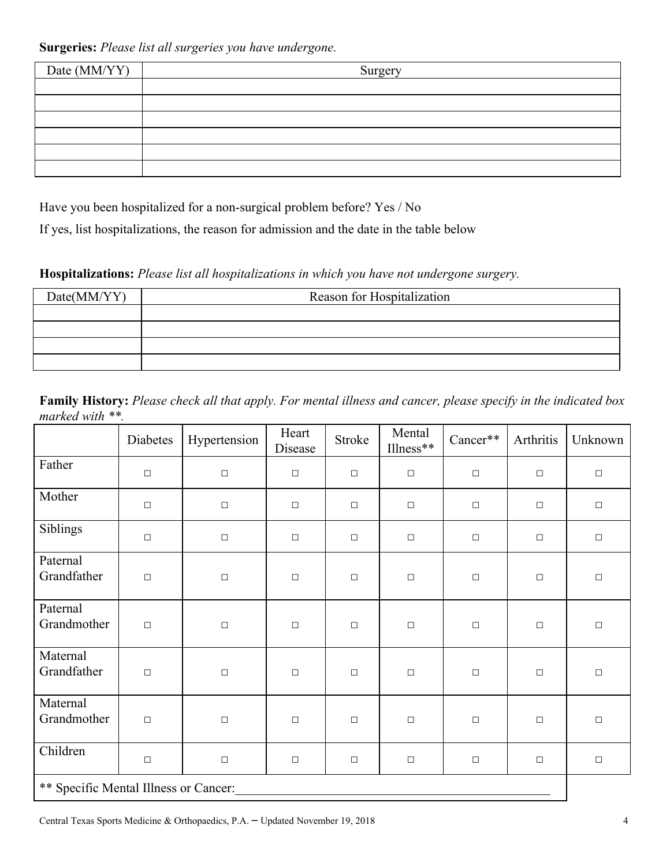**Surgeries:** *Please list all surgeries you have undergone.*

| Date (MM/YY) | Surgery |
|--------------|---------|
|              |         |
|              |         |
|              |         |
|              |         |
|              |         |
|              |         |

Have you been hospitalized for a non-surgical problem before? Yes / No

If yes, list hospitalizations, the reason for admission and the date in the table below

**Hospitalizations:** *Please list all hospitalizations in which you have not undergone surgery.*

| Date(MM/YY) | Reason for Hospitalization |
|-------------|----------------------------|
|             |                            |
|             |                            |
|             |                            |
|             |                            |

**Family History:** *Please check all that apply. For mental illness and cancer, please specify in the indicated box marked with \*\*.*

|                                       | Diabetes | Hypertension | Heart<br>Disease | Stroke | Mental<br>Illness** | Cancer** | Arthritis | Unknown |
|---------------------------------------|----------|--------------|------------------|--------|---------------------|----------|-----------|---------|
| Father                                | $\Box$   | $\Box$       | $\Box$           | $\Box$ | $\Box$              | $\Box$   | $\Box$    | $\Box$  |
| Mother                                | $\Box$   | $\Box$       | $\Box$           | $\Box$ | $\Box$              | $\Box$   | $\Box$    | $\Box$  |
| Siblings                              | $\Box$   | $\Box$       | $\Box$           | $\Box$ | $\Box$              | $\Box$   | $\Box$    | $\Box$  |
| Paternal<br>Grandfather               | $\Box$   | $\Box$       | $\Box$           | $\Box$ | $\Box$              | $\Box$   | $\Box$    | $\Box$  |
| Paternal<br>Grandmother               | $\Box$   | $\Box$       | $\Box$           | $\Box$ | $\Box$              | $\Box$   | $\Box$    | $\Box$  |
| Maternal<br>Grandfather               | $\Box$   | $\Box$       | $\Box$           | $\Box$ | $\Box$              | $\Box$   | $\Box$    | $\Box$  |
| Maternal<br>Grandmother               | $\Box$   | $\Box$       | $\Box$           | $\Box$ | $\Box$              | $\Box$   | $\Box$    | $\Box$  |
| Children                              | $\Box$   | $\Box$       | $\Box$           | $\Box$ | $\Box$              | $\Box$   | $\Box$    | $\Box$  |
| ** Specific Mental Illness or Cancer: |          |              |                  |        |                     |          |           |         |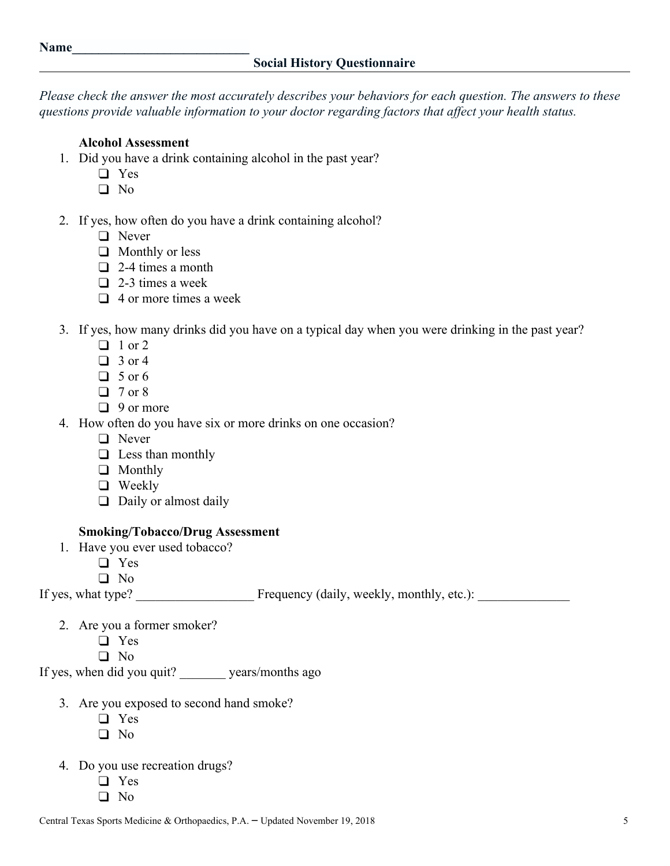*Please check the answer the most accurately describes your behaviors for each question. The answers to these questions provide valuable information to your doctor regarding factors that affect your health status.*

#### **Alcohol Assessment**

- 1. Did you have a drink containing alcohol in the past year?
	- ❑ Yes
	- ❑ No
- 2. If yes, how often do you have a drink containing alcohol?
	- ❑ Never
	- ❑ Monthly or less
	- ❑ 2-4 times a month
	- $\Box$  2-3 times a week
	- ❑ 4 or more times a week
- 3. If yes, how many drinks did you have on a typical day when you were drinking in the past year?
	- $\Box$  1 or 2
	- ❑ 3 or 4
	- $\Box$  5 or 6
	- ❑ 7 or 8
	- ❑ 9 or more
- 4. How often do you have six or more drinks on one occasion?
	- ❑ Never
	- ❑ Less than monthly
	- ❑ Monthly
	- ❑ Weekly
	- ❑ Daily or almost daily

#### **Smoking/Tobacco/Drug Assessment**

- 1. Have you ever used tobacco?
	- ❑ Yes
	- ❑ No

If yes, what type? Frequency (daily, weekly, monthly, etc.):

- 2. Are you a former smoker?
	- ❑ Yes
	- ❑ No

If yes, when did you quit? \_\_\_\_\_\_\_ years/months ago

- 3. Are you exposed to second hand smoke?
	- ❑ Yes
	- ❑ No
- 4. Do you use recreation drugs?
	- ❑ Yes
	- ❑ No